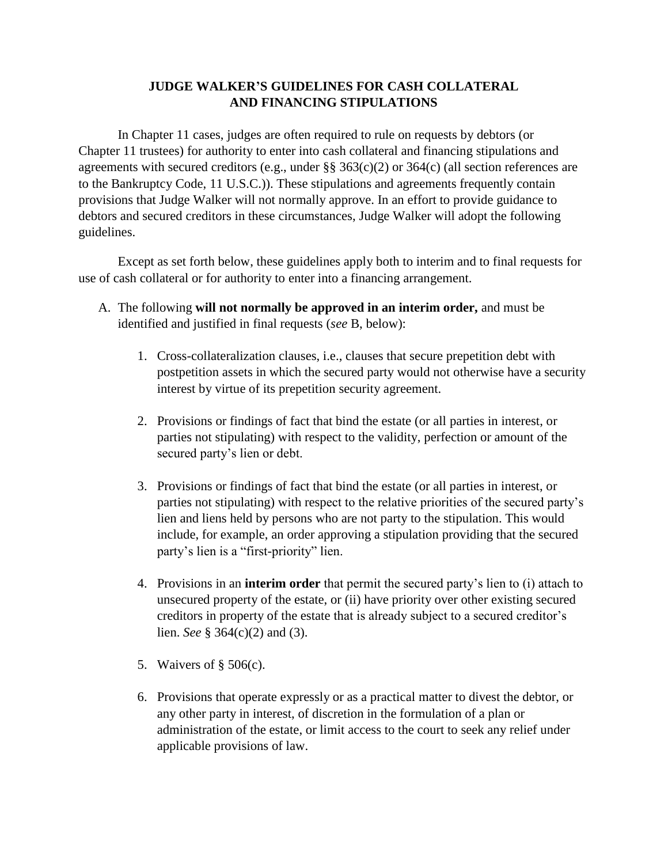## **JUDGE WALKER'S GUIDELINES FOR CASH COLLATERAL AND FINANCING STIPULATIONS**

In Chapter 11 cases, judges are often required to rule on requests by debtors (or Chapter 11 trustees) for authority to enter into cash collateral and financing stipulations and agreements with secured creditors (e.g., under §§ 363(c)(2) or 364(c) (all section references are to the Bankruptcy Code, 11 U.S.C.)). These stipulations and agreements frequently contain provisions that Judge Walker will not normally approve. In an effort to provide guidance to debtors and secured creditors in these circumstances, Judge Walker will adopt the following guidelines.

Except as set forth below, these guidelines apply both to interim and to final requests for use of cash collateral or for authority to enter into a financing arrangement.

- A. The following **will not normally be approved in an interim order,** and must be identified and justified in final requests (*see* B, below):
	- 1. Cross-collateralization clauses, i.e., clauses that secure prepetition debt with postpetition assets in which the secured party would not otherwise have a security interest by virtue of its prepetition security agreement.
	- 2. Provisions or findings of fact that bind the estate (or all parties in interest, or parties not stipulating) with respect to the validity, perfection or amount of the secured party's lien or debt.
	- 3. Provisions or findings of fact that bind the estate (or all parties in interest, or parties not stipulating) with respect to the relative priorities of the secured party's lien and liens held by persons who are not party to the stipulation. This would include, for example, an order approving a stipulation providing that the secured party's lien is a "first-priority" lien.
	- 4. Provisions in an **interim order** that permit the secured party's lien to (i) attach to unsecured property of the estate, or (ii) have priority over other existing secured creditors in property of the estate that is already subject to a secured creditor's lien. *See* § 364(c)(2) and (3).
	- 5. Waivers of § 506(c).
	- 6. Provisions that operate expressly or as a practical matter to divest the debtor, or any other party in interest, of discretion in the formulation of a plan or administration of the estate, or limit access to the court to seek any relief under applicable provisions of law.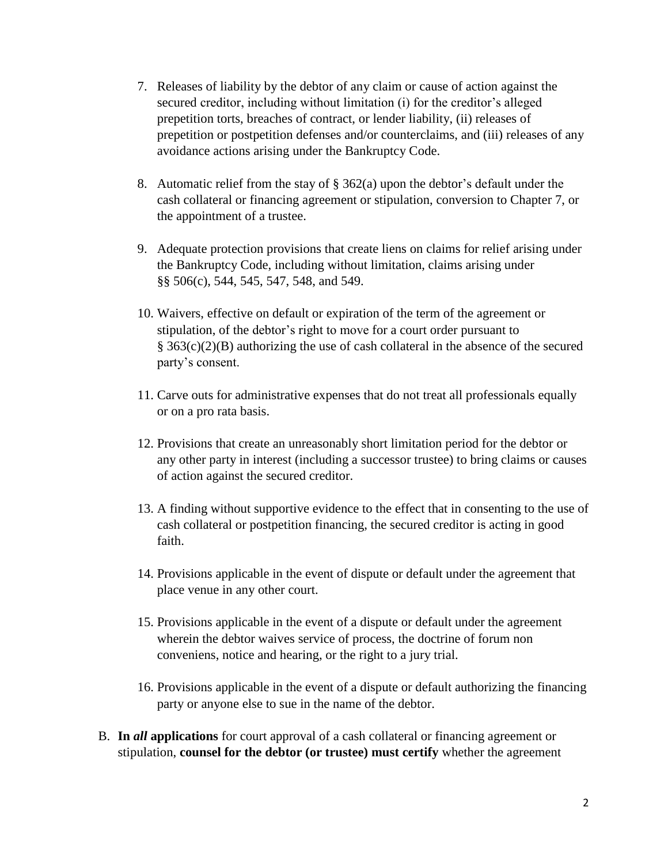- 7. Releases of liability by the debtor of any claim or cause of action against the secured creditor, including without limitation (i) for the creditor's alleged prepetition torts, breaches of contract, or lender liability, (ii) releases of prepetition or postpetition defenses and/or counterclaims, and (iii) releases of any avoidance actions arising under the Bankruptcy Code.
- 8. Automatic relief from the stay of  $\S 362(a)$  upon the debtor's default under the cash collateral or financing agreement or stipulation, conversion to Chapter 7, or the appointment of a trustee.
- 9. Adequate protection provisions that create liens on claims for relief arising under the Bankruptcy Code, including without limitation, claims arising under §§ 506(c), 544, 545, 547, 548, and 549.
- 10. Waivers, effective on default or expiration of the term of the agreement or stipulation, of the debtor's right to move for a court order pursuant to § 363(c)(2)(B) authorizing the use of cash collateral in the absence of the secured party's consent.
- 11. Carve outs for administrative expenses that do not treat all professionals equally or on a pro rata basis.
- 12. Provisions that create an unreasonably short limitation period for the debtor or any other party in interest (including a successor trustee) to bring claims or causes of action against the secured creditor.
- 13. A finding without supportive evidence to the effect that in consenting to the use of cash collateral or postpetition financing, the secured creditor is acting in good faith.
- 14. Provisions applicable in the event of dispute or default under the agreement that place venue in any other court.
- 15. Provisions applicable in the event of a dispute or default under the agreement wherein the debtor waives service of process, the doctrine of forum non conveniens, notice and hearing, or the right to a jury trial.
- 16. Provisions applicable in the event of a dispute or default authorizing the financing party or anyone else to sue in the name of the debtor.
- B. **In** *all* **applications** for court approval of a cash collateral or financing agreement or stipulation, **counsel for the debtor (or trustee) must certify** whether the agreement